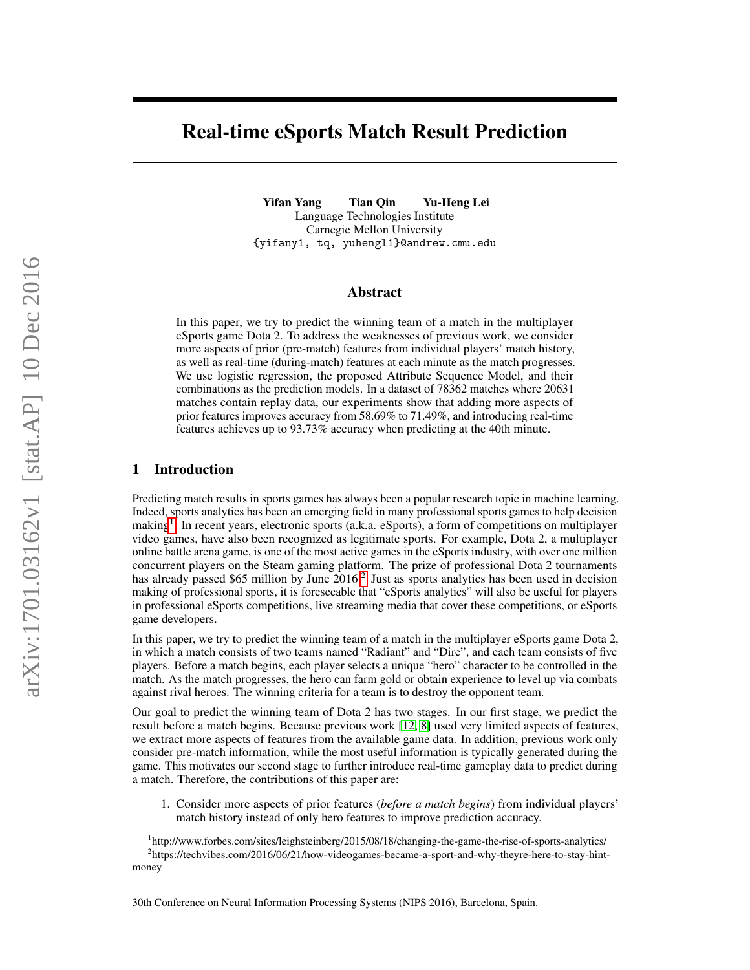# Real-time eSports Match Result Prediction

Yifan Yang Tian Qin Yu-Heng Lei Language Technologies Institute Carnegie Mellon University {yifany1, tq, yuhengl1}@andrew.cmu.edu

## Abstract

In this paper, we try to predict the winning team of a match in the multiplayer eSports game Dota 2. To address the weaknesses of previous work, we consider more aspects of prior (pre-match) features from individual players' match history, as well as real-time (during-match) features at each minute as the match progresses. We use logistic regression, the proposed Attribute Sequence Model, and their combinations as the prediction models. In a dataset of 78362 matches where 20631 matches contain replay data, our experiments show that adding more aspects of prior features improves accuracy from 58.69% to 71.49%, and introducing real-time features achieves up to 93.73% accuracy when predicting at the 40th minute.

# 1 Introduction

Predicting match results in sports games has always been a popular research topic in machine learning. Indeed, sports analytics has been an emerging field in many professional sports games to help decision making[1](#page-0-0) . In recent years, electronic sports (a.k.a. eSports), a form of competitions on multiplayer video games, have also been recognized as legitimate sports. For example, Dota 2, a multiplayer online battle arena game, is one of the most active games in the eSports industry, with over one million concurrent players on the Steam gaming platform. The prize of professional Dota 2 tournaments has already passed \$65 million by June [2](#page-0-1)016.<sup>2</sup> Just as sports analytics has been used in decision making of professional sports, it is foreseeable that "eSports analytics" will also be useful for players in professional eSports competitions, live streaming media that cover these competitions, or eSports game developers.

In this paper, we try to predict the winning team of a match in the multiplayer eSports game Dota 2, in which a match consists of two teams named "Radiant" and "Dire", and each team consists of five players. Before a match begins, each player selects a unique "hero" character to be controlled in the match. As the match progresses, the hero can farm gold or obtain experience to level up via combats against rival heroes. The winning criteria for a team is to destroy the opponent team.

Our goal to predict the winning team of Dota 2 has two stages. In our first stage, we predict the result before a match begins. Because previous work [\[12,](#page-8-0) [8\]](#page-8-1) used very limited aspects of features, we extract more aspects of features from the available game data. In addition, previous work only consider pre-match information, while the most useful information is typically generated during the game. This motivates our second stage to further introduce real-time gameplay data to predict during a match. Therefore, the contributions of this paper are:

1. Consider more aspects of prior features (*before a match begins*) from individual players' match history instead of only hero features to improve prediction accuracy.

<span id="page-0-1"></span><span id="page-0-0"></span><sup>&</sup>lt;sup>1</sup>http://www.forbes.com/sites/leighsteinberg/2015/08/18/changing-the-game-the-rise-of-sports-analytics/ <sup>2</sup>https://techvibes.com/2016/06/21/how-videogames-became-a-sport-and-why-theyre-here-to-stay-hintmoney

<sup>30</sup>th Conference on Neural Information Processing Systems (NIPS 2016), Barcelona, Spain.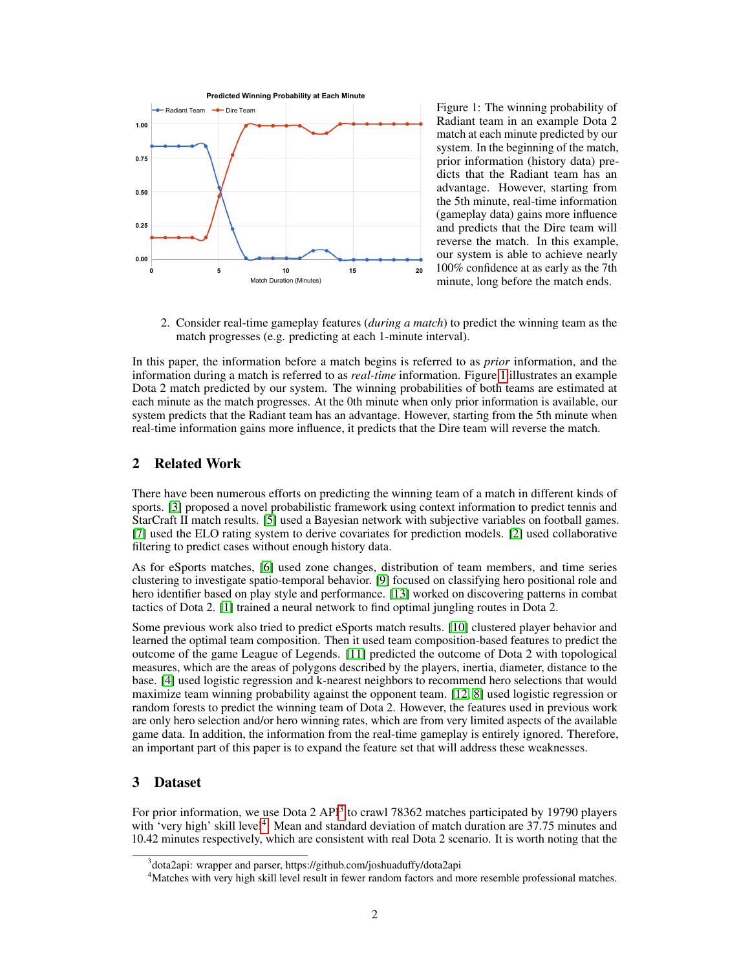

<span id="page-1-0"></span>Figure 1: The winning probability of Radiant team in an example Dota 2 match at each minute predicted by our system. In the beginning of the match, prior information (history data) predicts that the Radiant team has an advantage. However, starting from the 5th minute, real-time information (gameplay data) gains more influence and predicts that the Dire team will reverse the match. In this example, our system is able to achieve nearly 100% confidence at as early as the 7th minute, long before the match ends.

2. Consider real-time gameplay features (*during a match*) to predict the winning team as the match progresses (e.g. predicting at each 1-minute interval).

In this paper, the information before a match begins is referred to as *prior* information, and the information during a match is referred to as *real-time* information. Figure [1](#page-1-0) illustrates an example Dota 2 match predicted by our system. The winning probabilities of both teams are estimated at each minute as the match progresses. At the 0th minute when only prior information is available, our system predicts that the Radiant team has an advantage. However, starting from the 5th minute when real-time information gains more influence, it predicts that the Dire team will reverse the match.

# 2 Related Work

There have been numerous efforts on predicting the winning team of a match in different kinds of sports. [\[3\]](#page-8-2) proposed a novel probabilistic framework using context information to predict tennis and StarCraft II match results. [\[5\]](#page-8-3) used a Bayesian network with subjective variables on football games. [\[7\]](#page-8-4) used the ELO rating system to derive covariates for prediction models. [\[2\]](#page-8-5) used collaborative filtering to predict cases without enough history data.

As for eSports matches, [\[6\]](#page-8-6) used zone changes, distribution of team members, and time series clustering to investigate spatio-temporal behavior. [\[9\]](#page-8-7) focused on classifying hero positional role and hero identifier based on play style and performance. [\[13\]](#page-8-8) worked on discovering patterns in combat tactics of Dota 2. [\[1\]](#page-8-9) trained a neural network to find optimal jungling routes in Dota 2.

Some previous work also tried to predict eSports match results. [\[10\]](#page-8-10) clustered player behavior and learned the optimal team composition. Then it used team composition-based features to predict the outcome of the game League of Legends. [\[11\]](#page-8-11) predicted the outcome of Dota 2 with topological measures, which are the areas of polygons described by the players, inertia, diameter, distance to the base. [\[4\]](#page-8-12) used logistic regression and k-nearest neighbors to recommend hero selections that would maximize team winning probability against the opponent team. [\[12,](#page-8-0) [8\]](#page-8-1) used logistic regression or random forests to predict the winning team of Dota 2. However, the features used in previous work are only hero selection and/or hero winning rates, which are from very limited aspects of the available game data. In addition, the information from the real-time gameplay is entirely ignored. Therefore, an important part of this paper is to expand the feature set that will address these weaknesses.

# 3 Dataset

For prior information, we use Dota 2 API<sup>[3](#page-1-1)</sup> to crawl 78362 matches participated by 19790 players with 'very high' skill level<sup>[4](#page-1-2)</sup>. Mean and standard deviation of match duration are 37.75 minutes and 10.42 minutes respectively, which are consistent with real Dota 2 scenario. It is worth noting that the

<span id="page-1-1"></span><sup>&</sup>lt;sup>3</sup>dota2api: wrapper and parser, https://github.com/joshuaduffy/dota2api

<span id="page-1-2"></span><sup>4</sup>Matches with very high skill level result in fewer random factors and more resemble professional matches.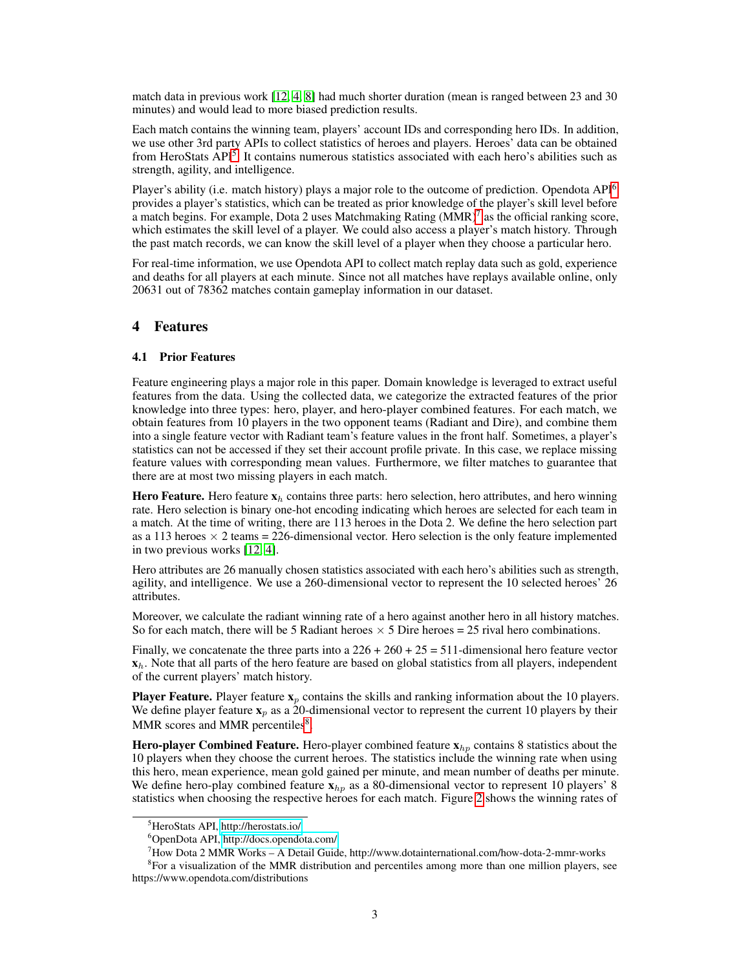match data in previous work [\[12,](#page-8-0) [4,](#page-8-12) [8\]](#page-8-1) had much shorter duration (mean is ranged between 23 and 30 minutes) and would lead to more biased prediction results.

Each match contains the winning team, players' account IDs and corresponding hero IDs. In addition, we use other 3rd party APIs to collect statistics of heroes and players. Heroes' data can be obtained from HeroStats API<sup>[5](#page-2-0)</sup>. It contains numerous statistics associated with each hero's abilities such as strength, agility, and intelligence.

Player's ability (i.e. match history) plays a major role to the outcome of prediction. Opendota API<sup>[6](#page-2-1)</sup> provides a player's statistics, which can be treated as prior knowledge of the player's skill level before a match begins. For example, Dota 2 uses Matchmaking Rating  $(MMR)^7$  $(MMR)^7$  as the official ranking score, which estimates the skill level of a player. We could also access a player's match history. Through the past match records, we can know the skill level of a player when they choose a particular hero.

For real-time information, we use Opendota API to collect match replay data such as gold, experience and deaths for all players at each minute. Since not all matches have replays available online, only 20631 out of 78362 matches contain gameplay information in our dataset.

# 4 Features

# <span id="page-2-4"></span>4.1 Prior Features

Feature engineering plays a major role in this paper. Domain knowledge is leveraged to extract useful features from the data. Using the collected data, we categorize the extracted features of the prior knowledge into three types: hero, player, and hero-player combined features. For each match, we obtain features from 10 players in the two opponent teams (Radiant and Dire), and combine them into a single feature vector with Radiant team's feature values in the front half. Sometimes, a player's statistics can not be accessed if they set their account profile private. In this case, we replace missing feature values with corresponding mean values. Furthermore, we filter matches to guarantee that there are at most two missing players in each match.

**Hero Feature.** Hero feature  $x_h$  contains three parts: hero selection, hero attributes, and hero winning rate. Hero selection is binary one-hot encoding indicating which heroes are selected for each team in a match. At the time of writing, there are 113 heroes in the Dota 2. We define the hero selection part as a 113 heroes  $\times$  2 teams = 226-dimensional vector. Hero selection is the only feature implemented in two previous works [\[12,](#page-8-0) [4\]](#page-8-12).

Hero attributes are 26 manually chosen statistics associated with each hero's abilities such as strength, agility, and intelligence. We use a 260-dimensional vector to represent the 10 selected heroes' 26 attributes.

Moreover, we calculate the radiant winning rate of a hero against another hero in all history matches. So for each match, there will be 5 Radiant heroes  $\times$  5 Dire heroes = 25 rival hero combinations.

Finally, we concatenate the three parts into a  $226 + 260 + 25 = 511$ -dimensional hero feature vector  $x<sub>b</sub>$ . Note that all parts of the hero feature are based on global statistics from all players, independent of the current players' match history.

**Player Feature.** Player feature  $x_p$  contains the skills and ranking information about the 10 players. We define player feature  $x_p$  as a 20-dimensional vector to represent the current 10 players by their MMR scores and MMR percentiles<sup>[8](#page-2-3)</sup>.

Hero-player Combined Feature. Hero-player combined feature  $\mathbf{x}_{hp}$  contains 8 statistics about the 10 players when they choose the current heroes. The statistics include the winning rate when using this hero, mean experience, mean gold gained per minute, and mean number of deaths per minute. We define hero-play combined feature  $\mathbf{x}_{hp}$  as a 80-dimensional vector to represent 10 players' 8 statistics when choosing the respective heroes for each match. Figure [2](#page-3-0) shows the winning rates of

<sup>8</sup> For a visualization of the MMR distribution and percentiles among more than one million players, see https://www.opendota.com/distributions

<span id="page-2-0"></span><sup>5</sup>HeroStats API,<http://herostats.io/>

<span id="page-2-1"></span><sup>6</sup>OpenDota API,<http://docs.opendota.com/>

<span id="page-2-3"></span><span id="page-2-2"></span><sup>7</sup>How Dota 2 MMR Works – A Detail Guide, http://www.dotainternational.com/how-dota-2-mmr-works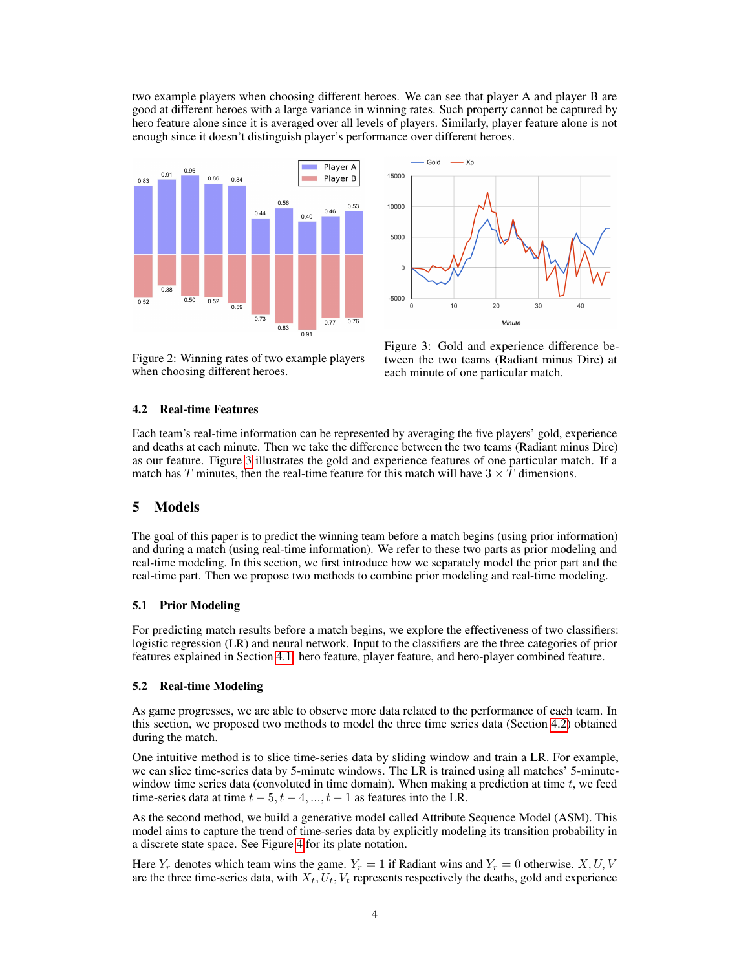two example players when choosing different heroes. We can see that player A and player B are good at different heroes with a large variance in winning rates. Such property cannot be captured by hero feature alone since it is averaged over all levels of players. Similarly, player feature alone is not enough since it doesn't distinguish player's performance over different heroes.



Gold — Xp 15000 10000 5000  $\mathbf{C}$  $-5000$ 10 20 30 Minute

<span id="page-3-0"></span>Figure 2: Winning rates of two example players when choosing different heroes.

<span id="page-3-1"></span>Figure 3: Gold and experience difference between the two teams (Radiant minus Dire) at each minute of one particular match.

#### <span id="page-3-2"></span>4.2 Real-time Features

Each team's real-time information can be represented by averaging the five players' gold, experience and deaths at each minute. Then we take the difference between the two teams (Radiant minus Dire) as our feature. Figure [3](#page-3-1) illustrates the gold and experience features of one particular match. If a match has T minutes, then the real-time feature for this match will have  $3 \times T$  dimensions.

## 5 Models

The goal of this paper is to predict the winning team before a match begins (using prior information) and during a match (using real-time information). We refer to these two parts as prior modeling and real-time modeling. In this section, we first introduce how we separately model the prior part and the real-time part. Then we propose two methods to combine prior modeling and real-time modeling.

#### 5.1 Prior Modeling

For predicting match results before a match begins, we explore the effectiveness of two classifiers: logistic regression (LR) and neural network. Input to the classifiers are the three categories of prior features explained in Section [4.1:](#page-2-4) hero feature, player feature, and hero-player combined feature.

### 5.2 Real-time Modeling

As game progresses, we are able to observe more data related to the performance of each team. In this section, we proposed two methods to model the three time series data (Section [4.2\)](#page-3-2) obtained during the match.

One intuitive method is to slice time-series data by sliding window and train a LR. For example, we can slice time-series data by 5-minute windows. The LR is trained using all matches' 5-minutewindow time series data (convoluted in time domain). When making a prediction at time  $t$ , we feed time-series data at time  $t - 5, t - 4, ..., t - 1$  as features into the LR.

As the second method, we build a generative model called Attribute Sequence Model (ASM). This model aims to capture the trend of time-series data by explicitly modeling its transition probability in a discrete state space. See Figure [4](#page-4-0) for its plate notation.

Here  $Y_r$  denotes which team wins the game.  $Y_r = 1$  if Radiant wins and  $Y_r = 0$  otherwise. X, U, V are the three time-series data, with  $X_t$ ,  $U_t$ ,  $V_t$  represents respectively the deaths, gold and experience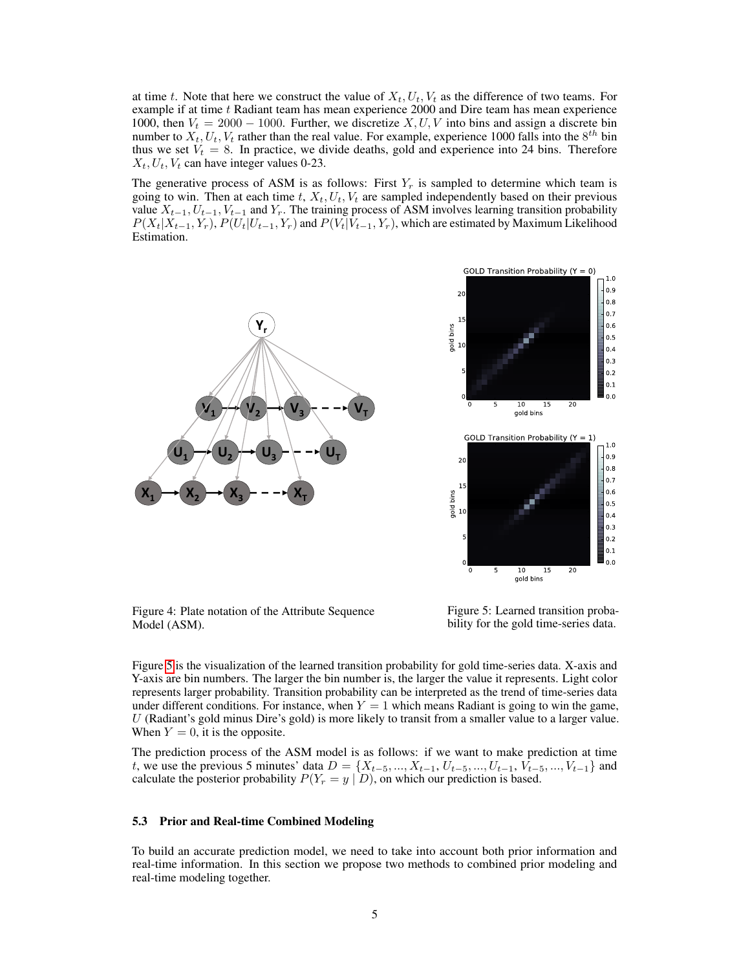at time t. Note that here we construct the value of  $X_t, U_t, V_t$  as the difference of two teams. For example if at time t Radiant team has mean experience 2000 and Dire team has mean experience 1000, then  $V_t = 2000 - 1000$ . Further, we discretize X, U, V into bins and assign a discrete bin number to  $X_t$ ,  $U_t$ ,  $V_t$  rather than the real value. For example, experience 1000 falls into the  $8^{th}$  bin thus we set  $V_t = 8$ . In practice, we divide deaths, gold and experience into 24 bins. Therefore  $X_t, U_t, V_t$  can have integer values 0-23.

The generative process of ASM is as follows: First  $Y_r$  is sampled to determine which team is going to win. Then at each time t,  $X_t$ ,  $U_t$ ,  $V_t$  are sampled independently based on their previous value  $X_{t-1}, U_{t-1}, V_{t-1}$  and  $Y_r$ . The training process of ASM involves learning transition probability  $P(X_t|X_{t-1}, Y_r)$ ,  $P(U_t|U_{t-1}, Y_r)$  and  $P(V_t|V_{t-1}, Y_r)$ , which are estimated by Maximum Likelihood Estimation.



<span id="page-4-0"></span>Figure 4: Plate notation of the Attribute Sequence Model (ASM).

<span id="page-4-1"></span>Figure 5: Learned transition probability for the gold time-series data.

Figure [5](#page-4-1) is the visualization of the learned transition probability for gold time-series data. X-axis and Y-axis are bin numbers. The larger the bin number is, the larger the value it represents. Light color represents larger probability. Transition probability can be interpreted as the trend of time-series data under different conditions. For instance, when  $Y = 1$  which means Radiant is going to win the game, U (Radiant's gold minus Dire's gold) is more likely to transit from a smaller value to a larger value. When  $Y = 0$ , it is the opposite.

The prediction process of the ASM model is as follows: if we want to make prediction at time t, we use the previous 5 minutes' data  $D = \{X_{t-5}, ..., X_{t-1}, U_{t-5}, ..., U_{t-1}, V_{t-5}, ..., V_{t-1}\}\$ and calculate the posterior probability  $P(Y_r = y | D)$ , on which our prediction is based.

### <span id="page-4-2"></span>5.3 Prior and Real-time Combined Modeling

To build an accurate prediction model, we need to take into account both prior information and real-time information. In this section we propose two methods to combined prior modeling and real-time modeling together.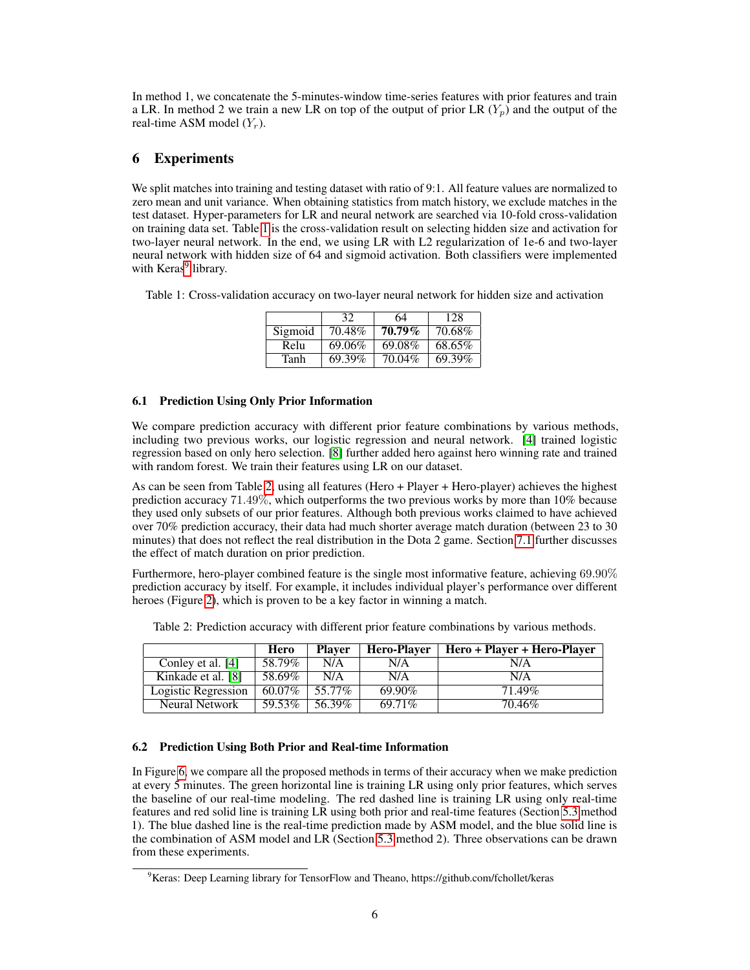In method 1, we concatenate the 5-minutes-window time-series features with prior features and train a LR. In method 2 we train a new LR on top of the output of prior LR  $(Y_n)$  and the output of the real-time ASM model  $(Y_r)$ .

# 6 Experiments

We split matches into training and testing dataset with ratio of 9:1. All feature values are normalized to zero mean and unit variance. When obtaining statistics from match history, we exclude matches in the test dataset. Hyper-parameters for LR and neural network are searched via 10-fold cross-validation on training data set. Table [1](#page-5-0) is the cross-validation result on selecting hidden size and activation for two-layer neural network. In the end, we using LR with L2 regularization of 1e-6 and two-layer neural network with hidden size of 64 and sigmoid activation. Both classifiers were implemented with Keras<sup>[9](#page-5-1)</sup> library.

<span id="page-5-0"></span>Table 1: Cross-validation accuracy on two-layer neural network for hidden size and activation

|         | 32     | 64        | 128    |
|---------|--------|-----------|--------|
| Sigmoid | 70.48% | $70.79\%$ | 70.68% |
| Relu    | 69.06% | 69.08%    | 68.65% |
| Tanh    | 69.39% | 70.04%    | 69.39% |

# <span id="page-5-3"></span>6.1 Prediction Using Only Prior Information

We compare prediction accuracy with different prior feature combinations by various methods, including two previous works, our logistic regression and neural network. [\[4\]](#page-8-12) trained logistic regression based on only hero selection. [\[8\]](#page-8-1) further added hero against hero winning rate and trained with random forest. We train their features using LR on our dataset.

As can be seen from Table [2,](#page-5-2) using all features (Hero + Player + Hero-player) achieves the highest prediction accuracy 71.49%, which outperforms the two previous works by more than 10% because they used only subsets of our prior features. Although both previous works claimed to have achieved over 70% prediction accuracy, their data had much shorter average match duration (between 23 to 30 minutes) that does not reflect the real distribution in the Dota 2 game. Section [7.1](#page-6-0) further discusses the effect of match duration on prior prediction.

Furthermore, hero-player combined feature is the single most informative feature, achieving 69.90% prediction accuracy by itself. For example, it includes individual player's performance over different heroes (Figure [2\)](#page-3-0), which is proven to be a key factor in winning a match.

|                     | Hero   | <b>Player</b> | <b>Hero-Player</b> | Hero + Player + Hero-Player |
|---------------------|--------|---------------|--------------------|-----------------------------|
| Conley et al. [4]   | 58.79% | N/A           | N/A                | N/A                         |
| Kinkade et al. [8]  | 58.69% | N/A           | N/A                | N/A                         |
| Logistic Regression | 60.07% | 55.77%        | 69.90%             | 71.49%                      |
| Neural Network      | 59.53% | 56.39%        | 69.71%             | 70.46%                      |

<span id="page-5-2"></span>Table 2: Prediction accuracy with different prior feature combinations by various methods.

## 6.2 Prediction Using Both Prior and Real-time Information

In Figure [6,](#page-6-1) we compare all the proposed methods in terms of their accuracy when we make prediction at every 5 minutes. The green horizontal line is training LR using only prior features, which serves the baseline of our real-time modeling. The red dashed line is training LR using only real-time features and red solid line is training LR using both prior and real-time features (Section [5.3](#page-4-2) method 1). The blue dashed line is the real-time prediction made by ASM model, and the blue solid line is the combination of ASM model and LR (Section [5.3](#page-4-2) method 2). Three observations can be drawn from these experiments.

<span id="page-5-1"></span><sup>&</sup>lt;sup>9</sup>Keras: Deep Learning library for TensorFlow and Theano, https://github.com/fchollet/keras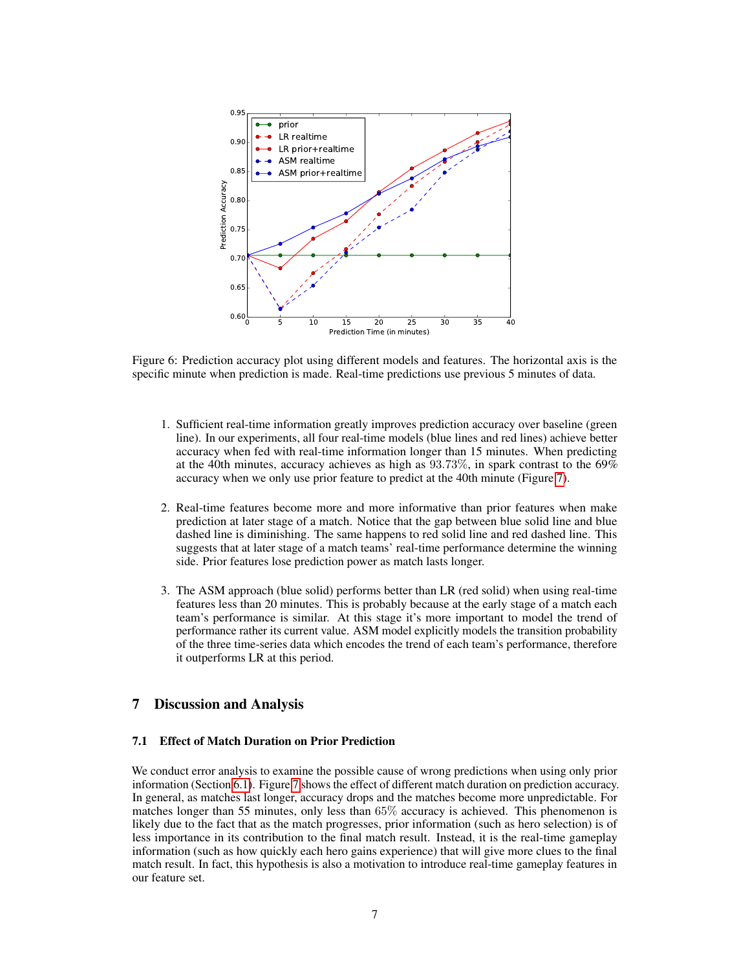

<span id="page-6-1"></span>Figure 6: Prediction accuracy plot using different models and features. The horizontal axis is the specific minute when prediction is made. Real-time predictions use previous 5 minutes of data.

- 1. Sufficient real-time information greatly improves prediction accuracy over baseline (green line). In our experiments, all four real-time models (blue lines and red lines) achieve better accuracy when fed with real-time information longer than 15 minutes. When predicting at the 40th minutes, accuracy achieves as high as 93.73%, in spark contrast to the 69% accuracy when we only use prior feature to predict at the 40th minute (Figure [7\)](#page-7-0).
- 2. Real-time features become more and more informative than prior features when make prediction at later stage of a match. Notice that the gap between blue solid line and blue dashed line is diminishing. The same happens to red solid line and red dashed line. This suggests that at later stage of a match teams' real-time performance determine the winning side. Prior features lose prediction power as match lasts longer.
- 3. The ASM approach (blue solid) performs better than LR (red solid) when using real-time features less than 20 minutes. This is probably because at the early stage of a match each team's performance is similar. At this stage it's more important to model the trend of performance rather its current value. ASM model explicitly models the transition probability of the three time-series data which encodes the trend of each team's performance, therefore it outperforms LR at this period.

# 7 Discussion and Analysis

# <span id="page-6-0"></span>7.1 Effect of Match Duration on Prior Prediction

We conduct error analysis to examine the possible cause of wrong predictions when using only prior information (Section [6.1\)](#page-5-3). Figure [7](#page-7-0) shows the effect of different match duration on prediction accuracy. In general, as matches last longer, accuracy drops and the matches become more unpredictable. For matches longer than 55 minutes, only less than 65% accuracy is achieved. This phenomenon is likely due to the fact that as the match progresses, prior information (such as hero selection) is of less importance in its contribution to the final match result. Instead, it is the real-time gameplay information (such as how quickly each hero gains experience) that will give more clues to the final match result. In fact, this hypothesis is also a motivation to introduce real-time gameplay features in our feature set.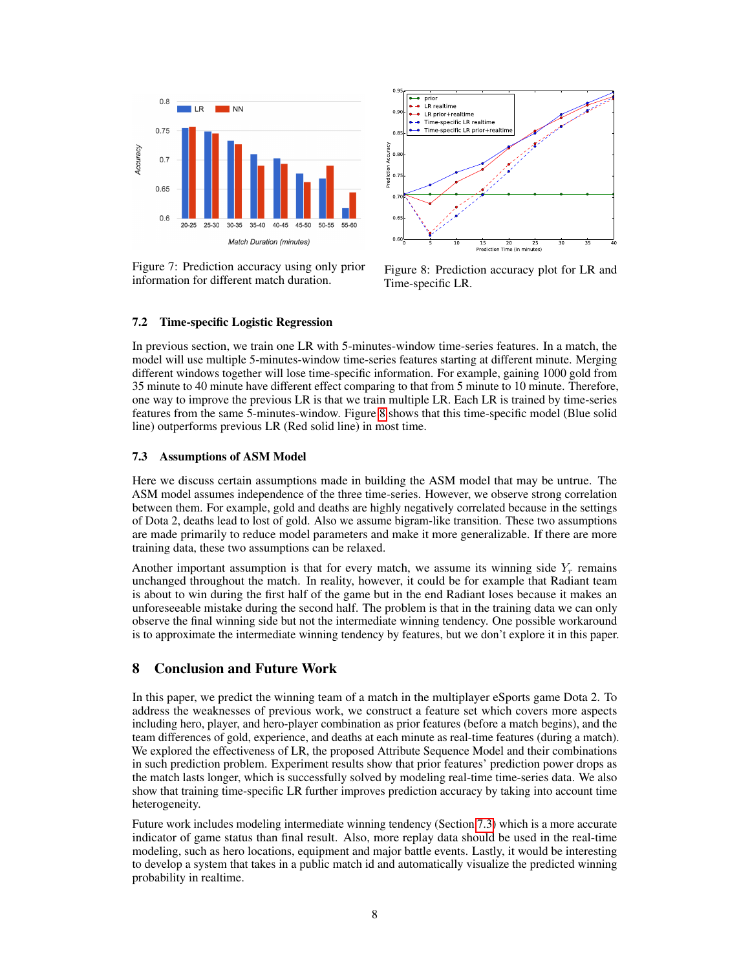

<span id="page-7-0"></span>Figure 7: Prediction accuracy using only prior information for different match duration.



<span id="page-7-1"></span>Figure 8: Prediction accuracy plot for LR and Time-specific LR.

#### 7.2 Time-specific Logistic Regression

In previous section, we train one LR with 5-minutes-window time-series features. In a match, the model will use multiple 5-minutes-window time-series features starting at different minute. Merging different windows together will lose time-specific information. For example, gaining 1000 gold from 35 minute to 40 minute have different effect comparing to that from 5 minute to 10 minute. Therefore, one way to improve the previous LR is that we train multiple LR. Each LR is trained by time-series features from the same 5-minutes-window. Figure [8](#page-7-1) shows that this time-specific model (Blue solid line) outperforms previous LR (Red solid line) in most time.

#### <span id="page-7-2"></span>7.3 Assumptions of ASM Model

Here we discuss certain assumptions made in building the ASM model that may be untrue. The ASM model assumes independence of the three time-series. However, we observe strong correlation between them. For example, gold and deaths are highly negatively correlated because in the settings of Dota 2, deaths lead to lost of gold. Also we assume bigram-like transition. These two assumptions are made primarily to reduce model parameters and make it more generalizable. If there are more training data, these two assumptions can be relaxed.

Another important assumption is that for every match, we assume its winning side  $Y_r$  remains unchanged throughout the match. In reality, however, it could be for example that Radiant team is about to win during the first half of the game but in the end Radiant loses because it makes an unforeseeable mistake during the second half. The problem is that in the training data we can only observe the final winning side but not the intermediate winning tendency. One possible workaround is to approximate the intermediate winning tendency by features, but we don't explore it in this paper.

# 8 Conclusion and Future Work

In this paper, we predict the winning team of a match in the multiplayer eSports game Dota 2. To address the weaknesses of previous work, we construct a feature set which covers more aspects including hero, player, and hero-player combination as prior features (before a match begins), and the team differences of gold, experience, and deaths at each minute as real-time features (during a match). We explored the effectiveness of LR, the proposed Attribute Sequence Model and their combinations in such prediction problem. Experiment results show that prior features' prediction power drops as the match lasts longer, which is successfully solved by modeling real-time time-series data. We also show that training time-specific LR further improves prediction accuracy by taking into account time heterogeneity.

Future work includes modeling intermediate winning tendency (Section [7.3\)](#page-7-2) which is a more accurate indicator of game status than final result. Also, more replay data should be used in the real-time modeling, such as hero locations, equipment and major battle events. Lastly, it would be interesting to develop a system that takes in a public match id and automatically visualize the predicted winning probability in realtime.